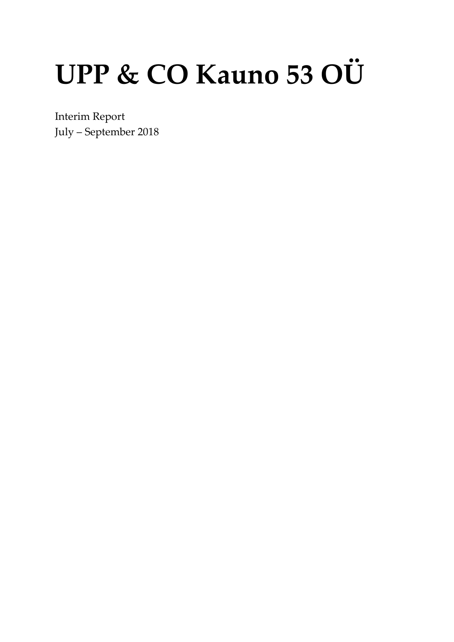# UPP & CO Kauno 53 OÜ

Interim Report July - September 2018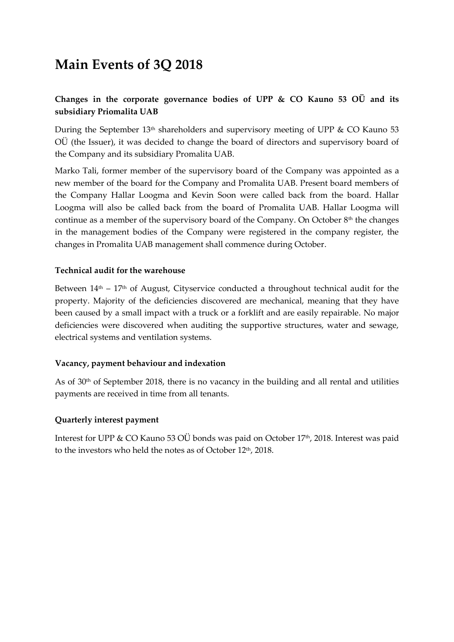## **Main Events of 3Q 2018**

#### **Changes in the corporate governance bodies of UPP & CO Kauno 53 OÜ and its subsidiary Priomalita UAB**

During the September  $13<sup>th</sup>$  shareholders and supervisory meeting of UPP & CO Kauno 53 OÜ (the Issuer), it was decided to change the board of directors and supervisory board of the Company and its subsidiary Promalita UAB.

Marko Tali, former member of the supervisory board of the Company was appointed as a new member of the board for the Company and Promalita UAB. Present board members of the Company Hallar Loogma and Kevin Soon were called back from the board. Hallar Loogma will also be called back from the board of Promalita UAB. Hallar Loogma will continue as a member of the supervisory board of the Company. On October 8<sup>th</sup> the changes in the management bodies of the Company were registered in the company register, the changes in Promalita UAB management shall commence during October.

#### **Technical audit for the warehouse**

Between  $14<sup>th</sup> - 17<sup>th</sup>$  of August, Cityservice conducted a throughout technical audit for the property. Majority of the deficiencies discovered are mechanical, meaning that they have been caused by a small impact with a truck or a forklift and are easily repairable. No major deficiencies were discovered when auditing the supportive structures, water and sewage, electrical systems and ventilation systems.

#### **Vacancy, payment behaviour and indexation**

As of 30th of September 2018, there is no vacancy in the building and all rental and utilities payments are received in time from all tenants.

#### **Quarterly interest payment**

Interest for UPP & CO Kauno 53 OÜ bonds was paid on October 17<sup>th</sup>, 2018. Interest was paid to the investors who held the notes as of October 12th, 2018.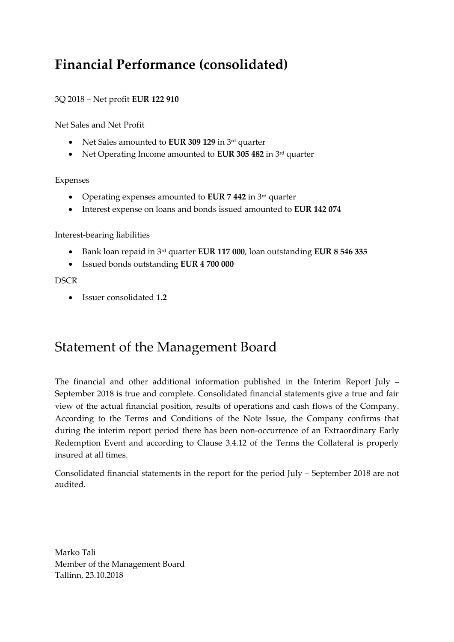## **Financial Performance (consolidated)**

#### 3Q 2018 – Net profit **EUR 122 910**

Net Sales and Net Profit

- Net Sales amounted to **EUR 309 129** in 3<sup>rd</sup> quarter
- Net Operating Income amounted to **EUR 305 482** in 3<sup>rd</sup> quarter

Expenses

- Operating expenses amounted to **EUR 7 442** in 3 rd quarter
- Interest expense on loans and bonds issued amounted to **EUR 142 074**

Interest-bearing liabilities

- Bank loan repaid in 3 rd quarter **EUR 117 000**, loan outstanding **EUR 8 546 335**
- Issued bonds outstanding **EUR 4 700 000**

#### **DSCR**

• Issuer consolidated **1.2**

### Statement of the Management Board

The financial and other additional information published in the Interim Report July – September 2018 is true and complete. Consolidated financial statements give a true and fair view of the actual financial position, results of operations and cash flows of the Company. According to the Terms and Conditions of the Note Issue, the Company confirms that during the interim report period there has been non-occurrence of an Extraordinary Early Redemption Event and according to Clause 3.4.12 of the Terms the Collateral is properly insured at all times.

Consolidated financial statements in the report for the period July – September 2018 are not audited.

Marko Tali Member of the Management Board Tallinn, 23.10.2018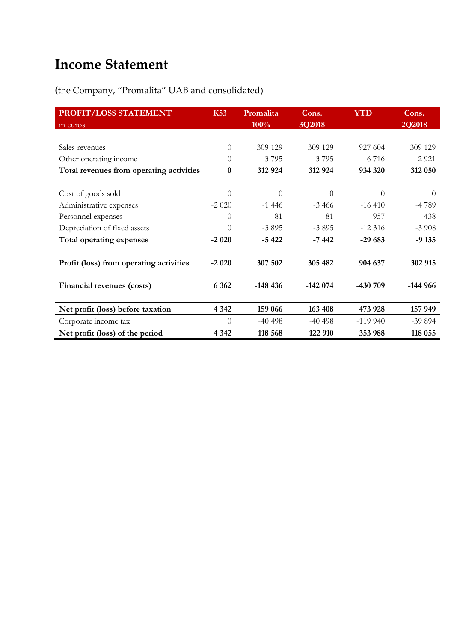## **Income Statement**

**(**the Company, "Promalita" UAB and consolidated)

| PROFIT/LOSS STATEMENT                    | <b>K53</b>   | Promalita | Cons.     | <b>YTD</b>       | Cons.     |
|------------------------------------------|--------------|-----------|-----------|------------------|-----------|
| in euros                                 |              | 100%      | 3Q2018    |                  | 2Q2018    |
|                                          |              |           |           |                  |           |
| Sales revenues                           | $\Omega$     | 309 129   | 309 129   | 927 604          | 309 129   |
| Other operating income                   | $\Omega$     | 3795      | 3795      | 6716             | 2 9 2 1   |
| Total revenues from operating activities | $\mathbf{0}$ | 312 924   | 312 924   | 934 320          | 312 050   |
|                                          |              |           |           |                  |           |
| Cost of goods sold                       | $\Omega$     | $\Omega$  | $\Omega$  | $\left( \right)$ | $\Omega$  |
| Administrative expenses                  | $-2020$      | $-1446$   | $-3466$   | $-16410$         | -4789     |
| Personnel expenses                       | 0            | $-81$     | -81       | $-957$           | $-438$    |
| Depreciation of fixed assets             | 0            | $-3895$   | $-3895$   | $-12316$         | $-3908$   |
| Total operating expenses                 | $-2020$      | $-5422$   | $-7442$   | $-29683$         | $-9135$   |
|                                          |              |           |           |                  |           |
| Profit (loss) from operating activities  | $-2020$      | 307 502   | 305 482   | 904 637          | 302 915   |
|                                          |              |           |           |                  |           |
| Financial revenues (costs)               | 6 3 6 2      | $-148436$ | $-142074$ | -430 709         | $-144966$ |
|                                          |              |           |           |                  |           |
| Net profit (loss) before taxation        | 4 3 4 2      | 159 066   | 163 408   | 473 928          | 157 949   |
| Corporate income tax                     | $\Omega$     | $-40498$  | $-40498$  | $-119940$        | $-39894$  |
| Net profit (loss) of the period          | 4 3 4 2      | 118 568   | 122 910   | 353 988          | 118 055   |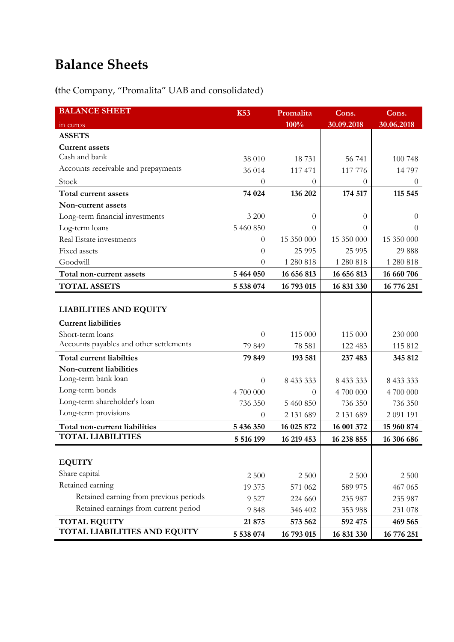# **Balance Sheets**

**(**the Company, "Promalita" UAB and consolidated)

| <b>BALANCE SHEET</b>                    | <b>K53</b>     | Promalita  | Cons.      | Cons.      |
|-----------------------------------------|----------------|------------|------------|------------|
| in euros                                |                | 100%       | 30.09.2018 | 30.06.2018 |
| <b>ASSETS</b>                           |                |            |            |            |
| <b>Current assets</b>                   |                |            |            |            |
| Cash and bank                           | 38 010         | 18731      | 56 741     | 100 748    |
| Accounts receivable and prepayments     | 36 014         | 117 471    | 117 776    | 14 797     |
| Stock                                   | $\theta$       | 0          | $\theta$   | $\theta$   |
| Total current assets                    | 74 024         | 136 202    | 174 517    | 115 545    |
| Non-current assets                      |                |            |            |            |
| Long-term financial investments         | 3 200          | $\theta$   | $\theta$   | $\theta$   |
| Log-term loans                          | 5 460 850      | 0          | 0          | $\Omega$   |
| Real Estate investments                 | $\theta$       | 15 350 000 | 15 350 000 | 15 350 000 |
| Fixed assets                            | $\overline{0}$ | 25 9 95    | 25 9 95    | 29 888     |
| Goodwill                                | $\theta$       | 1 280 818  | 1 280 818  | 1 280 818  |
| Total non-current assets                | 5 464 050      | 16 656 813 | 16 656 813 | 16 660 706 |
| <b>TOTAL ASSETS</b>                     | 5 538 074      | 16 793 015 | 16 831 330 | 16 776 251 |
|                                         |                |            |            |            |
| <b>LIABILITIES AND EQUITY</b>           |                |            |            |            |
| <b>Current liabilities</b>              |                |            |            |            |
| Short-term loans                        | $\overline{0}$ | 115 000    | 115 000    | 230 000    |
| Accounts payables and other settlements | 79 849         | 78 581     | 122 483    | 115 812    |
| <b>Total current liabilties</b>         | 79 849         | 193 581    | 237 483    | 345 812    |
| Non-current liabilities                 |                |            |            |            |
| Long-term bank loan                     | $\theta$       | 8 433 333  | 8 433 333  | 8 433 333  |
| Long-term bonds                         | 4 700 000      | $\Omega$   | 4 700 000  | 4 700 000  |
| Long-term shareholder's loan            | 736 350        | 5 460 850  | 736 350    | 736 350    |
| Long-term provisions                    | 0              | 2 131 689  | 2 131 689  | 2 091 191  |
| Total non-current liabilities           | 5 436 350      | 16 025 872 | 16 001 372 | 15 960 874 |
| <b>TOTAL LIABILITIES</b>                | 5 516 199      | 16 219 453 | 16 238 855 | 16 306 686 |
|                                         |                |            |            |            |
| <b>EQUITY</b>                           |                |            |            |            |
| Share capital                           | 2 500          | 2 500      | 2 500      | 2 500      |
| Retained earning                        | 19 375         | 571 062    | 589 975    | 467 065    |
| Retained earning from previous periods  | 9 5 27         | 224 660    | 235 987    | 235 987    |
| Retained earnings from current period   | 9848           | 346 402    | 353 988    | 231 078    |
| <b>TOTAL EQUITY</b>                     | 21875          | 573 562    | 592 475    | 469 565    |
| <b>TOTAL LIABILITIES AND EQUITY</b>     | 5 538 074      | 16 793 015 | 16 831 330 | 16 776 251 |